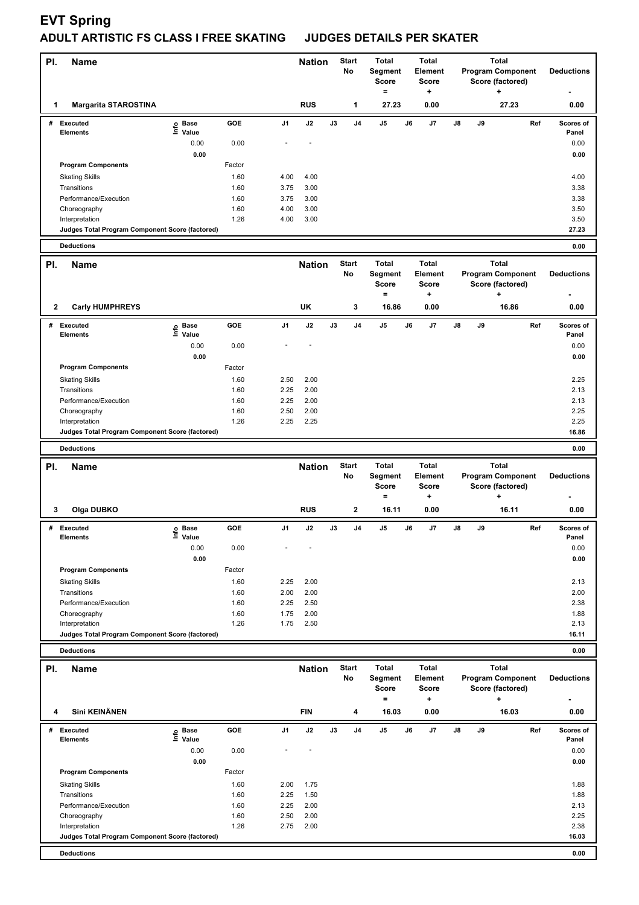## **EVT Spring**

## **ADULT ARTISTIC FS CLASS I FREE SKATING JUDGES DETAILS PER SKATER**

| PI.         | <b>Name</b>                                                          |                           |                |              | <b>Nation</b> |               | <b>Start</b><br>No | <b>Total</b><br>Segment<br>Score<br>$=$ | <b>Total</b><br>Element<br><b>Score</b><br>٠ |                                                              |    | <b>Total</b><br><b>Program Component</b><br>Score (factored)<br>÷ |     | <b>Deductions</b>          |
|-------------|----------------------------------------------------------------------|---------------------------|----------------|--------------|---------------|---------------|--------------------|-----------------------------------------|----------------------------------------------|--------------------------------------------------------------|----|-------------------------------------------------------------------|-----|----------------------------|
| 1           | <b>Margarita STAROSTINA</b>                                          |                           |                |              | <b>RUS</b>    |               | 1                  | 27.23                                   | 0.00                                         |                                                              |    | 27.23                                                             |     | 0.00                       |
| #           | Executed<br>Elements                                                 | e Base<br>⊑ Value<br>0.00 | GOE<br>0.00    | J1           | J2            | J3            | J4                 | J5                                      | J6<br>J7                                     | J8                                                           | J9 |                                                                   | Ref | Scores of<br>Panel<br>0.00 |
|             | <b>Program Components</b>                                            | 0.00                      | Factor         |              |               |               |                    |                                         |                                              |                                                              |    |                                                                   |     | 0.00                       |
|             | <b>Skating Skills</b>                                                |                           | 1.60           | 4.00         | 4.00          |               |                    |                                         |                                              |                                                              |    |                                                                   |     | 4.00                       |
|             | Transitions                                                          |                           | 1.60           | 3.75         | 3.00          |               |                    |                                         |                                              |                                                              |    |                                                                   |     | 3.38                       |
|             | Performance/Execution                                                |                           | 1.60           | 3.75         | 3.00          |               |                    |                                         |                                              |                                                              |    |                                                                   |     | 3.38                       |
|             | Choreography<br>Interpretation                                       |                           | 1.60<br>1.26   | 4.00<br>4.00 | 3.00<br>3.00  |               |                    |                                         |                                              |                                                              |    |                                                                   |     | 3.50<br>3.50               |
|             | Judges Total Program Component Score (factored)                      |                           |                |              |               |               |                    |                                         |                                              |                                                              |    |                                                                   |     | 27.23                      |
|             | <b>Deductions</b>                                                    |                           |                |              |               |               |                    |                                         |                                              |                                                              |    |                                                                   |     | 0.00                       |
| PI.         | <b>Name</b>                                                          |                           |                |              | <b>Nation</b> |               | <b>Start</b>       | <b>Total</b>                            | Total                                        |                                                              |    | <b>Total</b>                                                      |     |                            |
|             |                                                                      |                           |                |              |               |               | No                 | Segment<br><b>Score</b><br>$=$          | Element<br><b>Score</b><br>+                 |                                                              |    | <b>Program Component</b><br>Score (factored)<br>٠                 |     | <b>Deductions</b>          |
| 2           | <b>Carly HUMPHREYS</b>                                               |                           |                |              | UK            |               | 3                  | 16.86                                   | 0.00                                         |                                                              |    | 16.86                                                             |     | 0.00                       |
| #           | Executed<br>Elements                                                 | e Base<br>⊆ Value         | GOE            | J1           | J2            | J3            | J <sub>4</sub>     | J5                                      | J6<br>J7                                     | J8                                                           | J9 |                                                                   | Ref | Scores of<br>Panel         |
|             |                                                                      | 0.00<br>0.00              | 0.00           |              |               |               |                    |                                         |                                              |                                                              |    |                                                                   |     | 0.00<br>0.00               |
|             | <b>Program Components</b>                                            |                           | Factor         |              |               |               |                    |                                         |                                              |                                                              |    |                                                                   |     |                            |
|             | <b>Skating Skills</b>                                                |                           | 1.60           | 2.50         | 2.00          |               |                    |                                         |                                              |                                                              |    |                                                                   |     | 2.25                       |
|             | Transitions                                                          |                           | 1.60           | 2.25         | 2.00          |               |                    |                                         |                                              |                                                              |    |                                                                   |     | 2.13                       |
|             | Performance/Execution<br>Choreography                                |                           | 1.60<br>1.60   | 2.25<br>2.50 | 2.00<br>2.00  |               |                    |                                         |                                              |                                                              |    |                                                                   |     | 2.13<br>2.25               |
|             | Interpretation                                                       |                           | 1.26           | 2.25         | 2.25          |               |                    |                                         |                                              |                                                              |    |                                                                   |     | 2.25                       |
|             | Judges Total Program Component Score (factored)                      |                           |                |              |               |               |                    |                                         |                                              |                                                              |    |                                                                   |     | 16.86                      |
|             | <b>Deductions</b>                                                    |                           |                |              |               |               |                    |                                         |                                              |                                                              |    |                                                                   |     | 0.00                       |
| PI.<br>Name |                                                                      |                           |                |              |               |               |                    |                                         |                                              | <b>Total</b><br><b>Program Component</b><br>Score (factored) |    |                                                                   |     |                            |
|             |                                                                      |                           |                |              | <b>Nation</b> |               | <b>Start</b><br>No | <b>Total</b><br>Segment<br><b>Score</b> | <b>Total</b><br>Element<br><b>Score</b>      |                                                              |    |                                                                   |     | <b>Deductions</b>          |
| 3           | Olga DUBKO                                                           |                           |                |              | <b>RUS</b>    |               | 2                  | $\qquad \qquad =$<br>16.11              | ÷<br>0.00                                    |                                                              |    | ÷<br>16.11                                                        |     | 0.00                       |
| #           | <b>Executed</b>                                                      | <b>Base</b>               | GOE            | J1           | J2            | $\mathsf{J3}$ | J4                 | J5                                      | J7<br>J6                                     | J8                                                           | J9 |                                                                   | Ref | Scores of                  |
|             | Elements                                                             | Value                     |                |              |               |               |                    |                                         |                                              |                                                              |    |                                                                   |     | Panel                      |
|             |                                                                      | 0.00                      | 0.00           |              |               |               |                    |                                         |                                              |                                                              |    |                                                                   |     | 0.00                       |
|             |                                                                      | 0.00                      |                |              |               |               |                    |                                         |                                              |                                                              |    |                                                                   |     | 0.00                       |
|             | <b>Program Components</b><br><b>Skating Skills</b>                   |                           | Factor<br>1.60 | 2.25         | 2.00          |               |                    |                                         |                                              |                                                              |    |                                                                   |     | 2.13                       |
|             | Transitions                                                          |                           | 1.60           | 2.00         | 2.00          |               |                    |                                         |                                              |                                                              |    |                                                                   |     | 2.00                       |
|             | Performance/Execution                                                |                           | 1.60           | 2.25         | 2.50          |               |                    |                                         |                                              |                                                              |    |                                                                   |     | 2.38                       |
|             | Choreography                                                         |                           | 1.60           | 1.75         | 2.00          |               |                    |                                         |                                              |                                                              |    |                                                                   |     | 1.88                       |
|             | Interpretation<br>Judges Total Program Component Score (factored)    |                           | 1.26           | 1.75         | 2.50          |               |                    |                                         |                                              |                                                              |    |                                                                   |     | 2.13<br>16.11              |
|             | <b>Deductions</b>                                                    |                           |                |              |               |               |                    |                                         |                                              |                                                              |    |                                                                   |     | 0.00                       |
|             |                                                                      |                           |                |              |               |               | <b>Start</b>       | Total                                   | Total                                        |                                                              |    | <b>Total</b>                                                      |     |                            |
| PI.         | Name                                                                 |                           |                |              | <b>Nation</b> |               | No                 | Segment<br><b>Score</b>                 | Element<br><b>Score</b>                      |                                                              |    | <b>Program Component</b><br>Score (factored)                      |     | <b>Deductions</b>          |
| 4           | Sini KEINÄNEN                                                        |                           |                |              | <b>FIN</b>    |               | 4                  | $=$<br>16.03                            | ٠<br>0.00                                    |                                                              |    | 16.03                                                             |     | 0.00                       |
| #           | <b>Executed</b>                                                      | ු Base                    | GOE            | J1           | J2            | J3            | J4                 | J5                                      | J6<br>J7                                     | J8                                                           | J9 |                                                                   | Ref | Scores of                  |
|             | <b>Elements</b>                                                      | $\bar{z}$ Value           |                |              |               |               |                    |                                         |                                              |                                                              |    |                                                                   |     | Panel                      |
|             |                                                                      | 0.00                      | 0.00           |              |               |               |                    |                                         |                                              |                                                              |    |                                                                   |     | 0.00                       |
|             | <b>Program Components</b>                                            | 0.00                      | Factor         |              |               |               |                    |                                         |                                              |                                                              |    |                                                                   |     | 0.00                       |
|             | <b>Skating Skills</b>                                                |                           | 1.60           | 2.00         | 1.75          |               |                    |                                         |                                              |                                                              |    |                                                                   |     | 1.88                       |
|             | Transitions                                                          |                           | 1.60           | 2.25         | 1.50          |               |                    |                                         |                                              |                                                              |    |                                                                   |     | 1.88                       |
|             | Performance/Execution                                                |                           | 1.60           | 2.25         | 2.00          |               |                    |                                         |                                              |                                                              |    |                                                                   |     | 2.13                       |
|             | Choreography                                                         |                           | 1.60           | 2.50         | 2.00          |               |                    |                                         |                                              |                                                              |    |                                                                   |     | 2.25                       |
|             | Interpretation                                                       |                           | 1.26           | 2.75         | 2.00          |               |                    |                                         |                                              |                                                              |    |                                                                   |     | 2.38                       |
|             | Judges Total Program Component Score (factored)<br><b>Deductions</b> |                           |                |              |               |               |                    |                                         |                                              |                                                              |    |                                                                   |     | 16.03<br>0.00              |